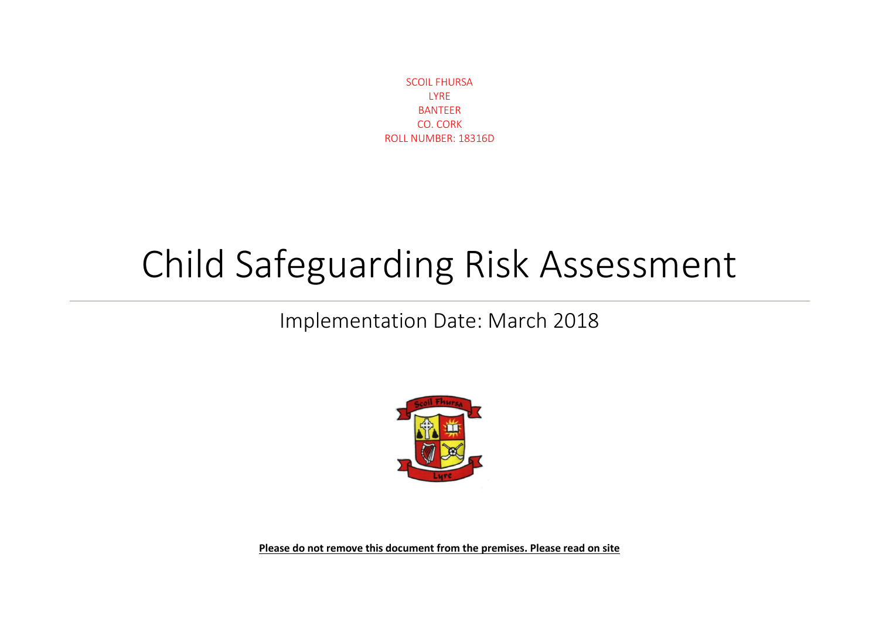SCOIL FHURSA LYRE BANTEER CO. CORK ROLL NUMBER: 18316D

## Child Safeguarding Risk Assessment

## Implementation Date: March 2018



**Please do not remove this document from the premises. Please read on site**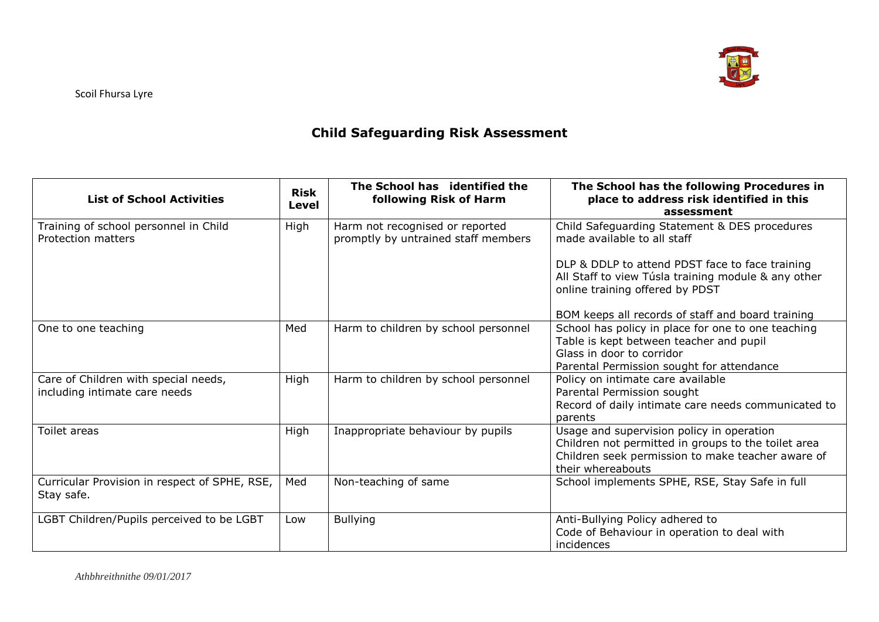

## **Child Safeguarding Risk Assessment**

| <b>List of School Activities</b>                                      | <b>Risk</b><br>Level | The School has identified the<br>following Risk of Harm                | The School has the following Procedures in<br>place to address risk identified in this<br>assessment                                                                       |
|-----------------------------------------------------------------------|----------------------|------------------------------------------------------------------------|----------------------------------------------------------------------------------------------------------------------------------------------------------------------------|
| Training of school personnel in Child<br>Protection matters           | High                 | Harm not recognised or reported<br>promptly by untrained staff members | Child Safeguarding Statement & DES procedures<br>made available to all staff                                                                                               |
|                                                                       |                      |                                                                        | DLP & DDLP to attend PDST face to face training<br>All Staff to view Túsla training module & any other<br>online training offered by PDST                                  |
|                                                                       |                      |                                                                        | BOM keeps all records of staff and board training                                                                                                                          |
| One to one teaching                                                   | Med                  | Harm to children by school personnel                                   | School has policy in place for one to one teaching<br>Table is kept between teacher and pupil<br>Glass in door to corridor<br>Parental Permission sought for attendance    |
| Care of Children with special needs,<br>including intimate care needs | High                 | Harm to children by school personnel                                   | Policy on intimate care available<br>Parental Permission sought<br>Record of daily intimate care needs communicated to<br>parents                                          |
| Toilet areas                                                          | High                 | Inappropriate behaviour by pupils                                      | Usage and supervision policy in operation<br>Children not permitted in groups to the toilet area<br>Children seek permission to make teacher aware of<br>their whereabouts |
| Curricular Provision in respect of SPHE, RSE,<br>Stay safe.           | Med                  | Non-teaching of same                                                   | School implements SPHE, RSE, Stay Safe in full                                                                                                                             |
| LGBT Children/Pupils perceived to be LGBT                             | Low                  | <b>Bullying</b>                                                        | Anti-Bullying Policy adhered to<br>Code of Behaviour in operation to deal with<br>incidences                                                                               |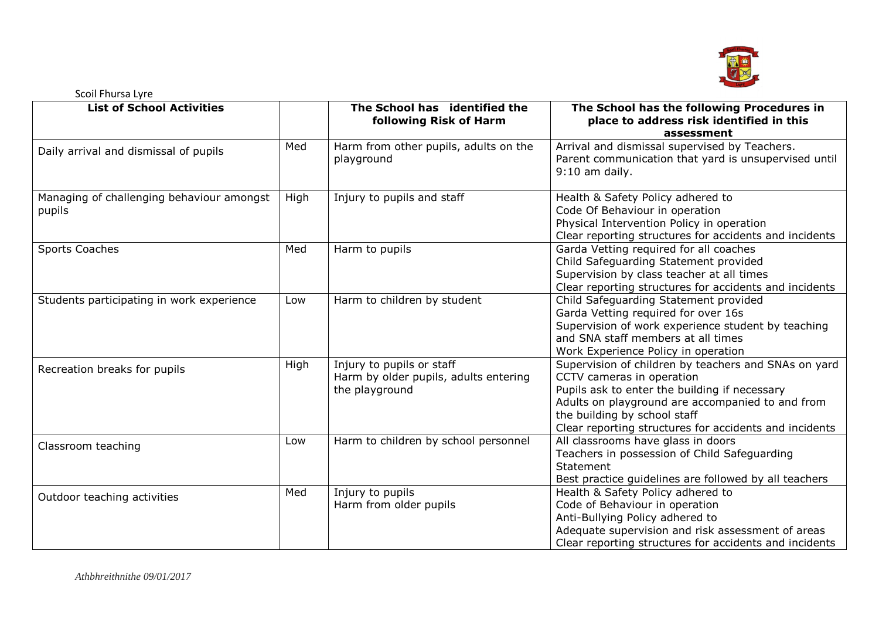

| <b>List of School Activities</b>                    |      | The School has identified the<br>following Risk of Harm                              | The School has the following Procedures in<br>place to address risk identified in this<br>assessment                                                                                                                                                                             |
|-----------------------------------------------------|------|--------------------------------------------------------------------------------------|----------------------------------------------------------------------------------------------------------------------------------------------------------------------------------------------------------------------------------------------------------------------------------|
| Daily arrival and dismissal of pupils               | Med  | Harm from other pupils, adults on the<br>playground                                  | Arrival and dismissal supervised by Teachers.<br>Parent communication that yard is unsupervised until<br>$9:10$ am daily.                                                                                                                                                        |
| Managing of challenging behaviour amongst<br>pupils | High | Injury to pupils and staff                                                           | Health & Safety Policy adhered to<br>Code Of Behaviour in operation<br>Physical Intervention Policy in operation<br>Clear reporting structures for accidents and incidents                                                                                                       |
| Sports Coaches                                      | Med  | Harm to pupils                                                                       | Garda Vetting required for all coaches<br>Child Safeguarding Statement provided<br>Supervision by class teacher at all times<br>Clear reporting structures for accidents and incidents                                                                                           |
| Students participating in work experience           | Low  | Harm to children by student                                                          | Child Safeguarding Statement provided<br>Garda Vetting required for over 16s<br>Supervision of work experience student by teaching<br>and SNA staff members at all times<br>Work Experience Policy in operation                                                                  |
| Recreation breaks for pupils                        | High | Injury to pupils or staff<br>Harm by older pupils, adults entering<br>the playground | Supervision of children by teachers and SNAs on yard<br>CCTV cameras in operation<br>Pupils ask to enter the building if necessary<br>Adults on playground are accompanied to and from<br>the building by school staff<br>Clear reporting structures for accidents and incidents |
| Classroom teaching                                  | Low  | Harm to children by school personnel                                                 | All classrooms have glass in doors<br>Teachers in possession of Child Safeguarding<br>Statement<br>Best practice guidelines are followed by all teachers                                                                                                                         |
| Outdoor teaching activities                         | Med  | Injury to pupils<br>Harm from older pupils                                           | Health & Safety Policy adhered to<br>Code of Behaviour in operation<br>Anti-Bullying Policy adhered to<br>Adequate supervision and risk assessment of areas<br>Clear reporting structures for accidents and incidents                                                            |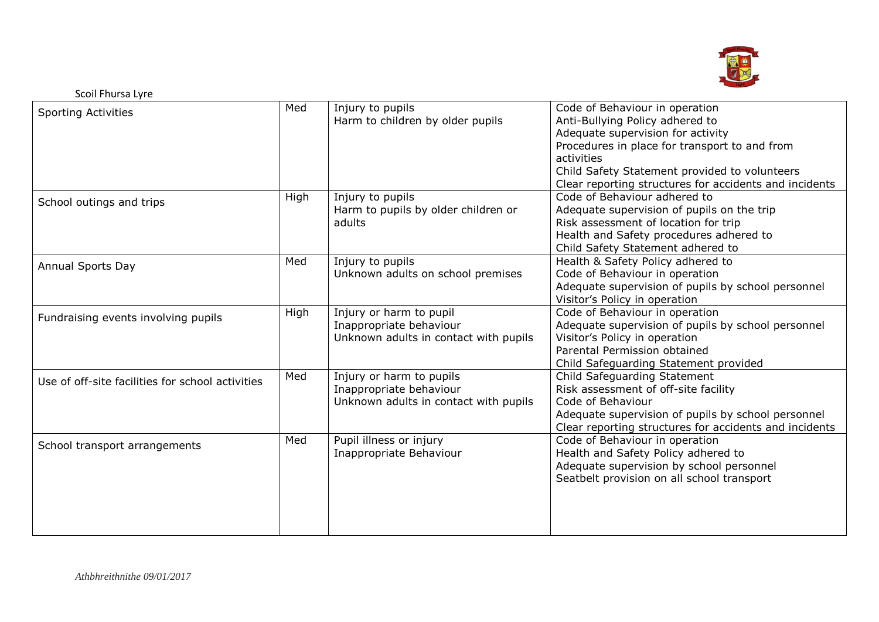

| <b>Sporting Activities</b>                       | Med  | Injury to pupils<br>Harm to children by older pupils                                         | Code of Behaviour in operation<br>Anti-Bullying Policy adhered to<br>Adequate supervision for activity<br>Procedures in place for transport to and from<br>activities<br>Child Safety Statement provided to volunteers<br>Clear reporting structures for accidents and incidents |
|--------------------------------------------------|------|----------------------------------------------------------------------------------------------|----------------------------------------------------------------------------------------------------------------------------------------------------------------------------------------------------------------------------------------------------------------------------------|
| School outings and trips                         | High | Injury to pupils<br>Harm to pupils by older children or<br>adults                            | Code of Behaviour adhered to<br>Adequate supervision of pupils on the trip<br>Risk assessment of location for trip<br>Health and Safety procedures adhered to<br>Child Safety Statement adhered to                                                                               |
| Annual Sports Day                                | Med  | Injury to pupils<br>Unknown adults on school premises                                        | Health & Safety Policy adhered to<br>Code of Behaviour in operation<br>Adequate supervision of pupils by school personnel<br>Visitor's Policy in operation                                                                                                                       |
| Fundraising events involving pupils              | High | Injury or harm to pupil<br>Inappropriate behaviour<br>Unknown adults in contact with pupils  | Code of Behaviour in operation<br>Adequate supervision of pupils by school personnel<br>Visitor's Policy in operation<br>Parental Permission obtained<br>Child Safeguarding Statement provided                                                                                   |
| Use of off-site facilities for school activities | Med  | Injury or harm to pupils<br>Inappropriate behaviour<br>Unknown adults in contact with pupils | Child Safeguarding Statement<br>Risk assessment of off-site facility<br>Code of Behaviour<br>Adequate supervision of pupils by school personnel<br>Clear reporting structures for accidents and incidents                                                                        |
| School transport arrangements                    | Med  | Pupil illness or injury<br>Inappropriate Behaviour                                           | Code of Behaviour in operation<br>Health and Safety Policy adhered to<br>Adequate supervision by school personnel<br>Seatbelt provision on all school transport                                                                                                                  |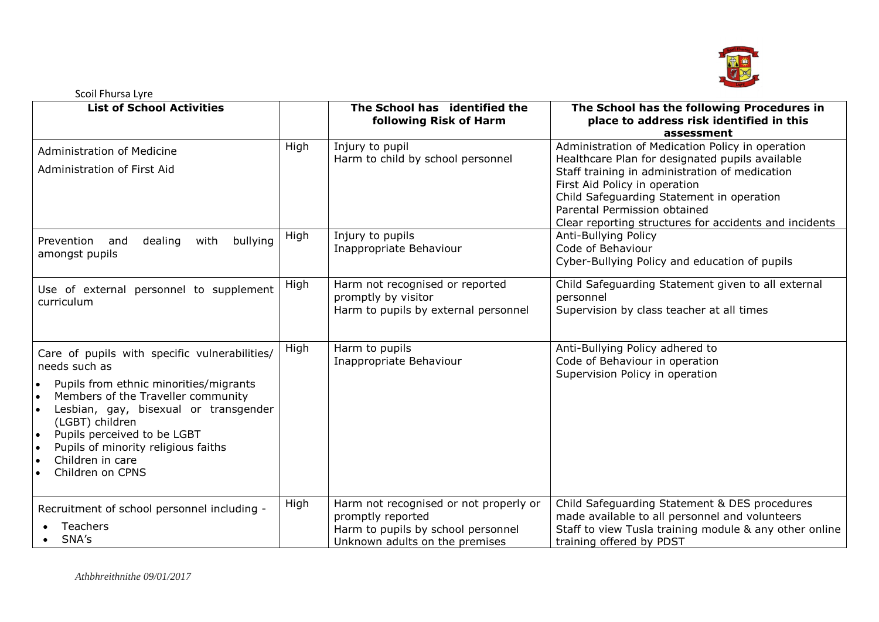

| <b>List of School Activities</b>                                                                                                                                                                                                                                                                                                             |      | The School has identified the<br>following Risk of Harm                                                                             | The School has the following Procedures in<br>place to address risk identified in this<br>assessment                                                                                                                                                                                                                          |
|----------------------------------------------------------------------------------------------------------------------------------------------------------------------------------------------------------------------------------------------------------------------------------------------------------------------------------------------|------|-------------------------------------------------------------------------------------------------------------------------------------|-------------------------------------------------------------------------------------------------------------------------------------------------------------------------------------------------------------------------------------------------------------------------------------------------------------------------------|
| <b>Administration of Medicine</b><br>Administration of First Aid                                                                                                                                                                                                                                                                             | High | Injury to pupil<br>Harm to child by school personnel                                                                                | Administration of Medication Policy in operation<br>Healthcare Plan for designated pupils available<br>Staff training in administration of medication<br>First Aid Policy in operation<br>Child Safeguarding Statement in operation<br>Parental Permission obtained<br>Clear reporting structures for accidents and incidents |
| bullying<br>dealing<br>with<br>Prevention<br>and<br>amongst pupils                                                                                                                                                                                                                                                                           | High | Injury to pupils<br>Inappropriate Behaviour                                                                                         | Anti-Bullying Policy<br>Code of Behaviour<br>Cyber-Bullying Policy and education of pupils                                                                                                                                                                                                                                    |
| Use of external personnel to supplement<br>curriculum                                                                                                                                                                                                                                                                                        | High | Harm not recognised or reported<br>promptly by visitor<br>Harm to pupils by external personnel                                      | Child Safeguarding Statement given to all external<br>personnel<br>Supervision by class teacher at all times                                                                                                                                                                                                                  |
| Care of pupils with specific vulnerabilities/<br>needs such as<br>Pupils from ethnic minorities/migrants<br>Members of the Traveller community<br>Lesbian, gay, bisexual or transgender<br>(LGBT) children<br>Pupils perceived to be LGBT<br>$\bullet$<br>Pupils of minority religious faiths<br>∣ •<br>Children in care<br>Children on CPNS | High | Harm to pupils<br>Inappropriate Behaviour                                                                                           | Anti-Bullying Policy adhered to<br>Code of Behaviour in operation<br>Supervision Policy in operation                                                                                                                                                                                                                          |
| Recruitment of school personnel including -<br>Teachers<br>SNA's                                                                                                                                                                                                                                                                             | High | Harm not recognised or not properly or<br>promptly reported<br>Harm to pupils by school personnel<br>Unknown adults on the premises | Child Safeguarding Statement & DES procedures<br>made available to all personnel and volunteers<br>Staff to view Tusla training module & any other online<br>training offered by PDST                                                                                                                                         |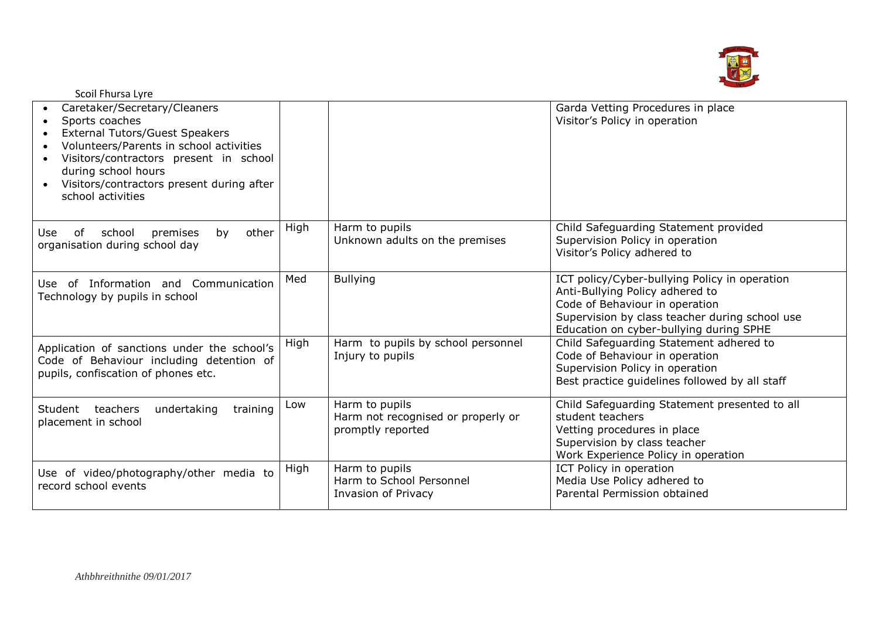

| Scoil Fhursa Lyre                                                                                                                                                                                                                                                                  |      |                                                                           |                                                                                                                                                                                                                 |
|------------------------------------------------------------------------------------------------------------------------------------------------------------------------------------------------------------------------------------------------------------------------------------|------|---------------------------------------------------------------------------|-----------------------------------------------------------------------------------------------------------------------------------------------------------------------------------------------------------------|
| Caretaker/Secretary/Cleaners<br>Sports coaches<br><b>External Tutors/Guest Speakers</b><br>Volunteers/Parents in school activities<br>Visitors/contractors present in school<br>during school hours<br>Visitors/contractors present during after<br>$\bullet$<br>school activities |      |                                                                           | Garda Vetting Procedures in place<br>Visitor's Policy in operation                                                                                                                                              |
| other<br>premises<br>school<br>of<br>by<br>Use<br>organisation during school day                                                                                                                                                                                                   | High | Harm to pupils<br>Unknown adults on the premises                          | Child Safeguarding Statement provided<br>Supervision Policy in operation<br>Visitor's Policy adhered to                                                                                                         |
| Use of Information and Communication<br>Technology by pupils in school                                                                                                                                                                                                             | Med  | <b>Bullying</b>                                                           | ICT policy/Cyber-bullying Policy in operation<br>Anti-Bullying Policy adhered to<br>Code of Behaviour in operation<br>Supervision by class teacher during school use<br>Education on cyber-bullying during SPHE |
| Application of sanctions under the school's<br>Code of Behaviour including detention of<br>pupils, confiscation of phones etc.                                                                                                                                                     | High | Harm to pupils by school personnel<br>Injury to pupils                    | Child Safeguarding Statement adhered to<br>Code of Behaviour in operation<br>Supervision Policy in operation<br>Best practice guidelines followed by all staff                                                  |
| Student teachers<br>training<br>undertaking<br>placement in school                                                                                                                                                                                                                 | Low  | Harm to pupils<br>Harm not recognised or properly or<br>promptly reported | Child Safeguarding Statement presented to all<br>student teachers<br>Vetting procedures in place<br>Supervision by class teacher<br>Work Experience Policy in operation                                         |
| Use of video/photography/other media to<br>record school events                                                                                                                                                                                                                    | High | Harm to pupils<br>Harm to School Personnel<br>Invasion of Privacy         | ICT Policy in operation<br>Media Use Policy adhered to<br>Parental Permission obtained                                                                                                                          |